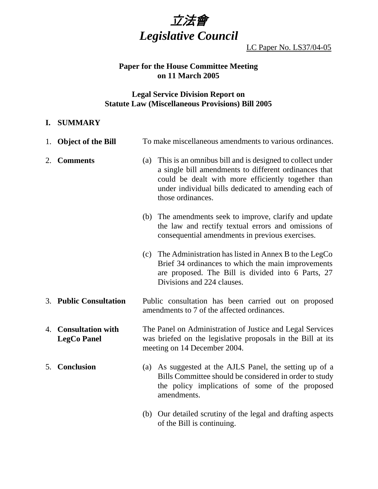

LC Paper No. LS37/04-05

## **Paper for the House Committee Meeting on 11 March 2005**

# **Legal Service Division Report on Statute Law (Miscellaneous Provisions) Bill 2005**

### **I. SUMMARY**

|    | 1. Object of the Bill                          | To make miscellaneous amendments to various ordinances.                                                                                                                                                                                                  |
|----|------------------------------------------------|----------------------------------------------------------------------------------------------------------------------------------------------------------------------------------------------------------------------------------------------------------|
| 2. | <b>Comments</b>                                | (a) This is an omnibus bill and is designed to collect under<br>a single bill amendments to different ordinances that<br>could be dealt with more efficiently together than<br>under individual bills dedicated to amending each of<br>those ordinances. |
|    |                                                | (b) The amendments seek to improve, clarify and update<br>the law and rectify textual errors and omissions of<br>consequential amendments in previous exercises.                                                                                         |
|    |                                                | (c) The Administration has listed in Annex B to the LegCo<br>Brief 34 ordinances to which the main improvements<br>are proposed. The Bill is divided into 6 Parts, 27<br>Divisions and 224 clauses.                                                      |
|    | 3. Public Consultation                         | Public consultation has been carried out on proposed<br>amendments to 7 of the affected ordinances.                                                                                                                                                      |
| 4. | <b>Consultation with</b><br><b>LegCo Panel</b> | The Panel on Administration of Justice and Legal Services<br>was briefed on the legislative proposals in the Bill at its<br>meeting on 14 December 2004.                                                                                                 |
| 5. | <b>Conclusion</b>                              | (a) As suggested at the AJLS Panel, the setting up of a<br>Bills Committee should be considered in order to study<br>the policy implications of some of the proposed<br>amendments.                                                                      |
|    |                                                | Our detailed scrutiny of the legal and drafting aspects<br>(b)<br>of the Bill is continuing.                                                                                                                                                             |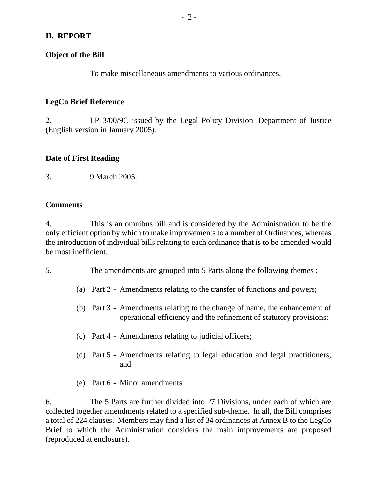## **II. REPORT**

#### **Object of the Bill**

To make miscellaneous amendments to various ordinances.

### **LegCo Brief Reference**

2. LP 3/00/9C issued by the Legal Policy Division, Department of Justice (English version in January 2005).

#### **Date of First Reading**

3. 9 March 2005.

#### **Comments**

4. This is an omnibus bill and is considered by the Administration to be the only efficient option by which to make improvements to a number of Ordinances, whereas the introduction of individual bills relating to each ordinance that is to be amended would be most inefficient.

- 5. The amendments are grouped into 5 Parts along the following themes :
	- (a) Part 2 Amendments relating to the transfer of functions and powers;
	- (b) Part 3 Amendments relating to the change of name, the enhancement of operational efficiency and the refinement of statutory provisions;
	- (c) Part 4 Amendments relating to judicial officers;
	- (d) Part 5 Amendments relating to legal education and legal practitioners; and
	- (e) Part 6 Minor amendments.

6. The 5 Parts are further divided into 27 Divisions, under each of which are collected together amendments related to a specified sub-theme. In all, the Bill comprises a total of 224 clauses. Members may find a list of 34 ordinances at Annex B to the LegCo Brief to which the Administration considers the main improvements are proposed (reproduced at enclosure).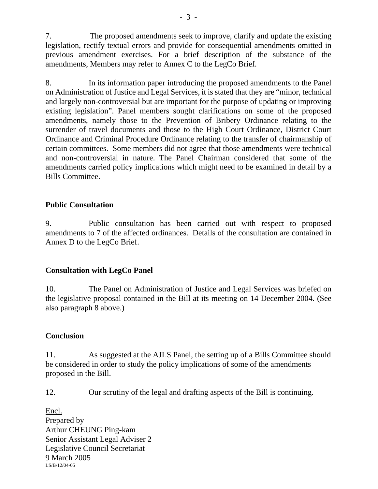7. The proposed amendments seek to improve, clarify and update the existing legislation, rectify textual errors and provide for consequential amendments omitted in previous amendment exercises. For a brief description of the substance of the amendments, Members may refer to Annex C to the LegCo Brief.

8. In its information paper introducing the proposed amendments to the Panel on Administration of Justice and Legal Services, it is stated that they are "minor, technical and largely non-controversial but are important for the purpose of updating or improving existing legislation". Panel members sought clarifications on some of the proposed amendments, namely those to the Prevention of Bribery Ordinance relating to the surrender of travel documents and those to the High Court Ordinance, District Court Ordinance and Criminal Procedure Ordinance relating to the transfer of chairmanship of certain committees. Some members did not agree that those amendments were technical and non-controversial in nature. The Panel Chairman considered that some of the amendments carried policy implications which might need to be examined in detail by a Bills Committee.

## **Public Consultation**

9. Public consultation has been carried out with respect to proposed amendments to 7 of the affected ordinances. Details of the consultation are contained in Annex D to the LegCo Brief.

## **Consultation with LegCo Panel**

10. The Panel on Administration of Justice and Legal Services was briefed on the legislative proposal contained in the Bill at its meeting on 14 December 2004. (See also paragraph 8 above.)

## **Conclusion**

11. As suggested at the AJLS Panel, the setting up of a Bills Committee should be considered in order to study the policy implications of some of the amendments proposed in the Bill.

12. Our scrutiny of the legal and drafting aspects of the Bill is continuing.

Encl. Prepared by Arthur CHEUNG Ping-kam Senior Assistant Legal Adviser 2 Legislative Council Secretariat 9 March 2005 LS/B/12/04-05